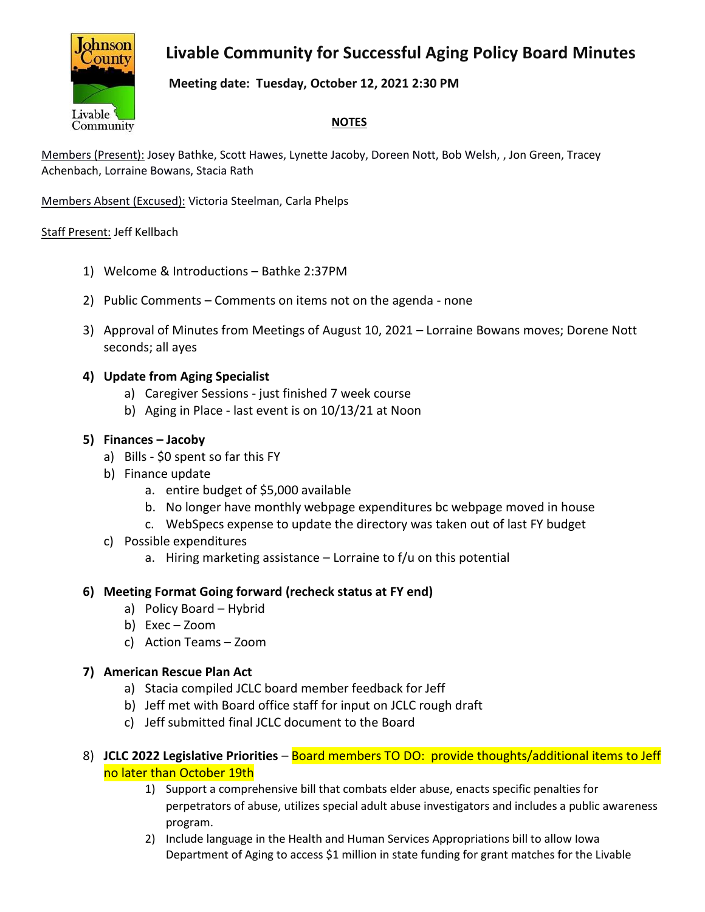# **Livable Community for Successful Aging Policy Board Minutes**



### **Meeting date: Tuesday, October 12, 2021 2:30 PM**

### **NOTES**

Members (Present): Josey Bathke, Scott Hawes, Lynette Jacoby, Doreen Nott, Bob Welsh, , Jon Green, Tracey Achenbach, Lorraine Bowans, Stacia Rath

Members Absent (Excused): Victoria Steelman, Carla Phelps

#### Staff Present: Jeff Kellbach

- 1) Welcome & Introductions Bathke 2:37PM
- 2) Public Comments Comments on items not on the agenda none
- 3) Approval of Minutes from Meetings of August 10, 2021 Lorraine Bowans moves; Dorene Nott seconds; all ayes

### **4) Update from Aging Specialist**

- a) Caregiver Sessions just finished 7 week course
- b) Aging in Place last event is on 10/13/21 at Noon

#### **5) Finances – Jacoby**

- a) Bills \$0 spent so far this FY
- b) Finance update
	- a. entire budget of \$5,000 available
	- b. No longer have monthly webpage expenditures bc webpage moved in house
	- c. WebSpecs expense to update the directory was taken out of last FY budget
- c) Possible expenditures
	- a. Hiring marketing assistance  $-$  Lorraine to f/u on this potential

#### **6) Meeting Format Going forward (recheck status at FY end)**

- a) Policy Board Hybrid
- b) Exec Zoom
- c) Action Teams Zoom

### **7) American Rescue Plan Act**

- a) Stacia compiled JCLC board member feedback for Jeff
- b) Jeff met with Board office staff for input on JCLC rough draft
- c) Jeff submitted final JCLC document to the Board
- 8) **JCLC 2022 Legislative Priorities** Board members TO DO: provide thoughts/additional items to Jeff no later than October 19th
	- 1) Support a comprehensive bill that combats elder abuse, enacts specific penalties for perpetrators of abuse, utilizes special adult abuse investigators and includes a public awareness program.
	- 2) Include language in the Health and Human Services Appropriations bill to allow Iowa Department of Aging to access \$1 million in state funding for grant matches for the Livable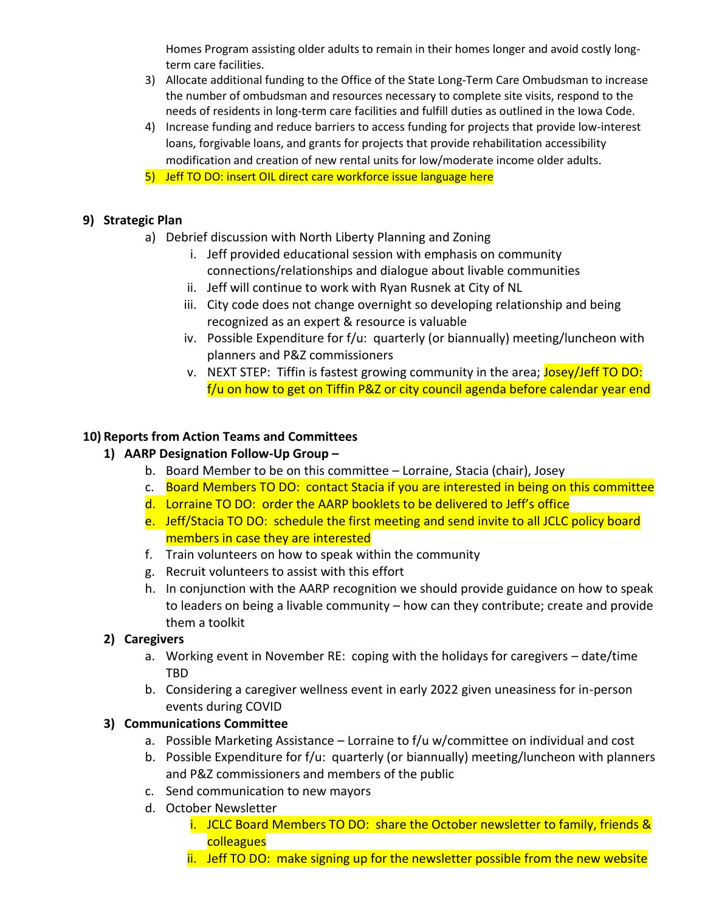Homes Program assisting older adults to remain in their homes longer and avoid costly longterm care facilities.

- 3) Allocate additional funding to the Office of the State Long-Term Care Ombudsman to increase the number of ombudsman and resources necessary to complete site visits, respond to the needs of residents in long-term care facilities and fulfill duties as outlined in the Iowa Code.
- 4) Increase funding and reduce barriers to access funding for projects that provide low-interest loans, forgivable loans, and grants for projects that provide rehabilitation accessibility modification and creation of new rental units for low/moderate income older adults.
- 5) Jeff TO DO: insert OIL direct care workforce issue language here

# **9) Strategic Plan**

- a) Debrief discussion with North Liberty Planning and Zoning
	- i. Jeff provided educational session with emphasis on community connections/relationships and dialogue about livable communities
	- ii. Jeff will continue to work with Ryan Rusnek at City of NL
	- iii. City code does not change overnight so developing relationship and being recognized as an expert & resource is valuable
	- iv. Possible Expenditure for f/u: quarterly (or biannually) meeting/luncheon with planners and P&Z commissioners
	- v. NEXT STEP: Tiffin is fastest growing community in the area; Josey/Jeff TO DO: f/u on how to get on Tiffin P&Z or city council agenda before calendar year end

# **10) Reports from Action Teams and Committees**

# **1) AARP Designation Follow-Up Group –**

- b. Board Member to be on this committee Lorraine, Stacia (chair), Josey
- c. Board Members TO DO: contact Stacia if you are interested in being on this committee
- d. Lorraine TO DO: order the AARP booklets to be delivered to Jeff's office
- e. Jeff/Stacia TO DO: schedule the first meeting and send invite to all JCLC policy board members in case they are interested
- f. Train volunteers on how to speak within the community
- g. Recruit volunteers to assist with this effort
- h. In conjunction with the AARP recognition we should provide guidance on how to speak to leaders on being a livable community – how can they contribute; create and provide them a toolkit

# **2) Caregivers**

- a. Working event in November RE: coping with the holidays for caregivers date/time TBD
- b. Considering a caregiver wellness event in early 2022 given uneasiness for in-person events during COVID

# **3) Communications Committee**

- a. Possible Marketing Assistance Lorraine to f/u w/committee on individual and cost
- b. Possible Expenditure for f/u: quarterly (or biannually) meeting/luncheon with planners and P&Z commissioners and members of the public
- c. Send communication to new mayors
- d. October Newsletter
	- i. JCLC Board Members TO DO: share the October newsletter to family, friends & colleagues
	- ii. Jeff TO DO: make signing up for the newsletter possible from the new website